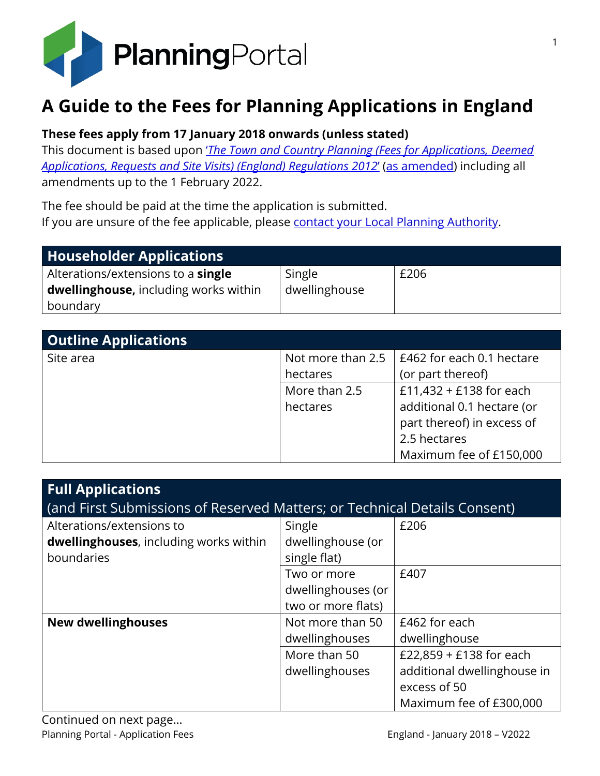

# **A Guide to the Fees for Planning Applications in England**

#### **These fees apply from 17 January 2018 onwards (unless stated)**

This document is based upon '*[The Town and Country Planning \(Fees for Applications, Deemed](https://www.legislation.gov.uk/uksi/2012/2920/contents)  [Applications, Requests and Site Visits\) \(England\) Regulations 2012](https://www.legislation.gov.uk/uksi/2012/2920/contents)*' [\(as amended\)](http://www.legislation.gov.uk/changes/affected/uksi/2012/2920) including all amendments up to the 1 February 2022.

The fee should be paid at the time the application is submitted. If you are unsure of the fee applicable, please [contact your Local Planning Authority.](https://www.planningportal.co.uk/find-your-local-planning-authority)

| Householder Applications                     |               |      |
|----------------------------------------------|---------------|------|
| Alterations/extensions to a <b>single</b>    | Single        | £206 |
| <b>dwellinghouse, including works within</b> | dwellinghouse |      |
| boundary                                     |               |      |

| <b>Outline Applications</b> |                   |                            |
|-----------------------------|-------------------|----------------------------|
| Site area                   | Not more than 2.5 | E462 for each 0.1 hectare  |
|                             | hectares          | (or part thereof)          |
|                             | More than 2.5     | £11,432 + £138 for each    |
|                             | hectares          | additional 0.1 hectare (or |
|                             |                   | part thereof) in excess of |
|                             |                   | 2.5 hectares               |
|                             |                   | Maximum fee of £150,000    |

| <b>Full Applications</b><br>(and First Submissions of Reserved Matters; or Technical Details Consent) |                                                         |                                                                                                   |  |
|-------------------------------------------------------------------------------------------------------|---------------------------------------------------------|---------------------------------------------------------------------------------------------------|--|
| Alterations/extensions to<br>dwellinghouses, including works within<br>boundaries                     | Single<br>dwellinghouse (or<br>single flat)             | £206                                                                                              |  |
|                                                                                                       | Two or more<br>dwellinghouses (or<br>two or more flats) | £407                                                                                              |  |
| <b>New dwellinghouses</b>                                                                             | Not more than 50<br>dwellinghouses                      | £462 for each<br>dwellinghouse                                                                    |  |
|                                                                                                       | More than 50<br>dwellinghouses                          | £22,859 + £138 for each<br>additional dwellinghouse in<br>excess of 50<br>Maximum fee of £300,000 |  |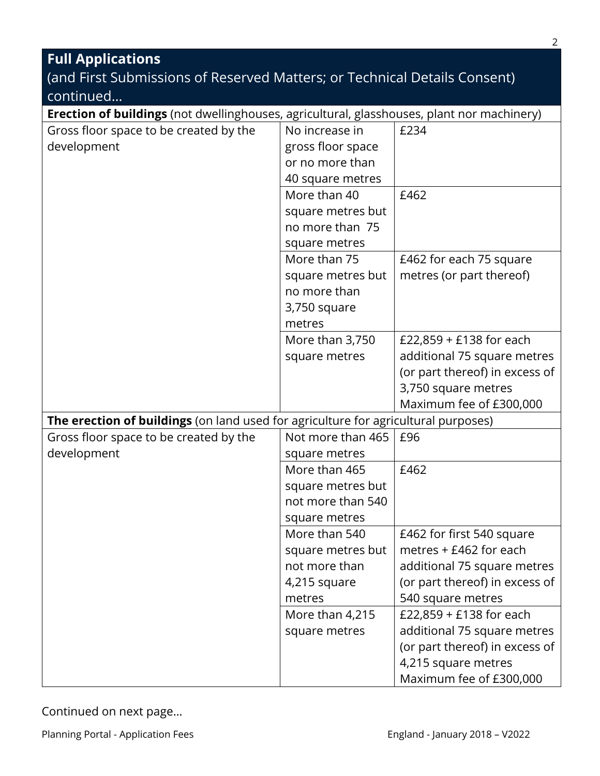| <b>Full Applications</b>                                                                   |                                                                               |                                                                                                                                            |  |
|--------------------------------------------------------------------------------------------|-------------------------------------------------------------------------------|--------------------------------------------------------------------------------------------------------------------------------------------|--|
| (and First Submissions of Reserved Matters; or Technical Details Consent)                  |                                                                               |                                                                                                                                            |  |
| continued                                                                                  |                                                                               |                                                                                                                                            |  |
| Erection of buildings (not dwellinghouses, agricultural, glasshouses, plant nor machinery) |                                                                               |                                                                                                                                            |  |
| Gross floor space to be created by the<br>development                                      | No increase in<br>gross floor space<br>or no more than                        | £234                                                                                                                                       |  |
|                                                                                            | 40 square metres                                                              |                                                                                                                                            |  |
|                                                                                            | More than 40                                                                  | £462                                                                                                                                       |  |
|                                                                                            | square metres but<br>no more than 75<br>square metres                         |                                                                                                                                            |  |
|                                                                                            | More than 75                                                                  | £462 for each 75 square                                                                                                                    |  |
|                                                                                            | square metres but<br>no more than<br>3,750 square<br>metres                   | metres (or part thereof)                                                                                                                   |  |
|                                                                                            | More than 3,750<br>square metres                                              | £22,859 + £138 for each<br>additional 75 square metres<br>(or part thereof) in excess of<br>3,750 square metres<br>Maximum fee of £300,000 |  |
| The erection of buildings (on land used for agriculture for agricultural purposes)         |                                                                               |                                                                                                                                            |  |
| Gross floor space to be created by the<br>development                                      | Not more than 465<br>square metres                                            | £96                                                                                                                                        |  |
|                                                                                            | More than 465<br>square metres but<br>not more than 540<br>square metres      | £462                                                                                                                                       |  |
|                                                                                            | More than 540<br>square metres but<br>not more than<br>4,215 square<br>metres | £462 for first 540 square<br>metres + £462 for each<br>additional 75 square metres<br>(or part thereof) in excess of<br>540 square metres  |  |
|                                                                                            | More than 4,215<br>square metres                                              | £22,859 + £138 for each<br>additional 75 square metres<br>(or part thereof) in excess of<br>4,215 square metres<br>Maximum fee of £300,000 |  |

Planning Portal - Application Fees **England - January 2018 - V2022**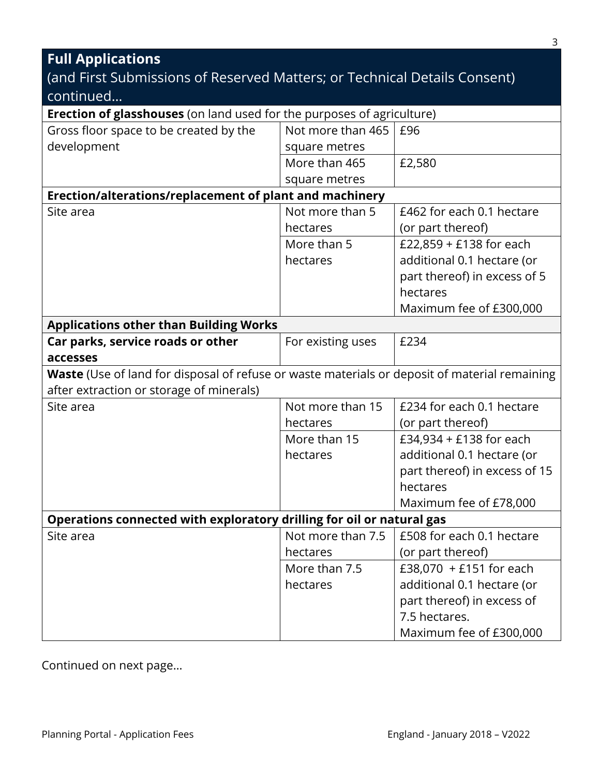#### **Full Applications** (and First Submissions of Reserved Matters; or Technical Details Consent) continued… **Erection of glasshouses** (on land used for the purposes of agriculture) Gross floor space to be created by the development Not more than 465 square metres £96 More than 465 square metres £2,580 **Erection/alterations/replacement of plant and machinery** Site area Not more than 5 hectares £462 for each 0.1 hectare (or part thereof) More than 5 hectares £22,859 + £138 for each additional 0.1 hectare (or part thereof) in excess of 5 hectares Maximum fee of £300,000 **Applications other than Building Works Car parks, service roads or other accesses** For existing uses  $\left| \right.$  £234 **Waste** (Use of land for disposal of refuse or waste materials or deposit of material remaining after extraction or storage of minerals) Site area Not more than 15 hectares £234 for each 0.1 hectare (or part thereof) More than 15 hectares £34,934 + £138 for each additional 0.1 hectare (or part thereof) in excess of 15 hectares Maximum fee of £78,000 **Operations connected with exploratory drilling for oil or natural gas** Site area Not more than 7.5 hectares £508 for each 0.1 hectare (or part thereof) More than 7.5 hectares £38,070 + £151 for each additional 0.1 hectare (or part thereof) in excess of 7.5 hectares. Maximum fee of £300,000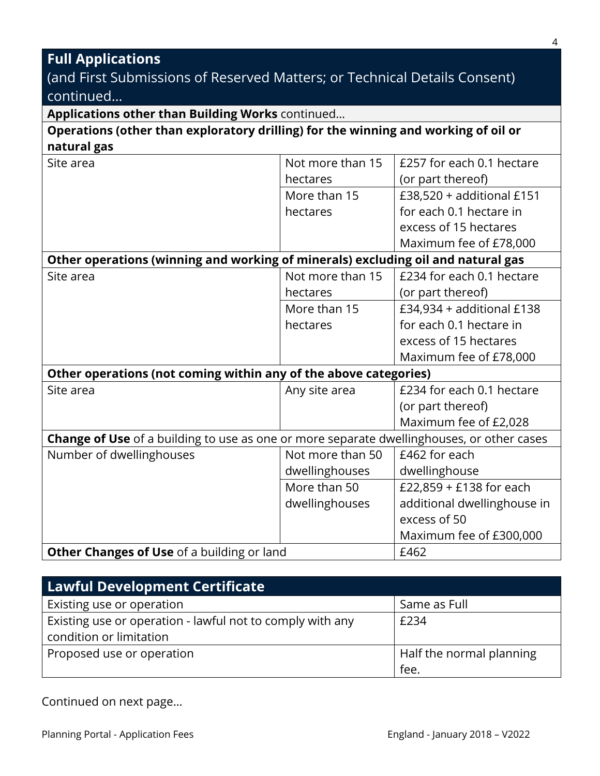## **Full Applications**

## (and First Submissions of Reserved Matters; or Technical Details Consent) continued…

|  |  |  |  | Applications other than Building Works continued |
|--|--|--|--|--------------------------------------------------|
|--|--|--|--|--------------------------------------------------|

#### **Operations (other than exploratory drilling) for the winning and working of oil or natural gas**

| Site area                                                                                 | Not more than 15 | £257 for each 0.1 hectare   |
|-------------------------------------------------------------------------------------------|------------------|-----------------------------|
|                                                                                           | hectares         | (or part thereof)           |
|                                                                                           | More than 15     | £38,520 + additional £151   |
|                                                                                           | hectares         | for each 0.1 hectare in     |
|                                                                                           |                  | excess of 15 hectares       |
|                                                                                           |                  | Maximum fee of £78,000      |
| Other operations (winning and working of minerals) excluding oil and natural gas          |                  |                             |
| Site area                                                                                 | Not more than 15 | £234 for each 0.1 hectare   |
|                                                                                           | hectares         | (or part thereof)           |
|                                                                                           | More than 15     | £34,934 + additional £138   |
|                                                                                           | hectares         | for each 0.1 hectare in     |
|                                                                                           |                  | excess of 15 hectares       |
|                                                                                           |                  | Maximum fee of £78,000      |
| Other operations (not coming within any of the above categories)                          |                  |                             |
| Site area                                                                                 | Any site area    | £234 for each 0.1 hectare   |
|                                                                                           |                  | (or part thereof)           |
|                                                                                           |                  | Maximum fee of £2,028       |
| Change of Use of a building to use as one or more separate dwellinghouses, or other cases |                  |                             |
| Number of dwellinghouses                                                                  | Not more than 50 | £462 for each               |
|                                                                                           | dwellinghouses   | dwellinghouse               |
|                                                                                           | More than 50     | £22,859 + £138 for each     |
|                                                                                           | dwellinghouses   | additional dwellinghouse in |
|                                                                                           |                  | excess of 50                |
|                                                                                           |                  | Maximum fee of £300,000     |
| Other Changes of Use of a building or land                                                |                  | £462                        |

| <b>Lawful Development Certificate</b>                     |                          |
|-----------------------------------------------------------|--------------------------|
| Existing use or operation                                 | Same as Full             |
| Existing use or operation - lawful not to comply with any | £234                     |
| condition or limitation                                   |                          |
| Proposed use or operation                                 | Half the normal planning |
|                                                           | fee.                     |

Continued on next page…

4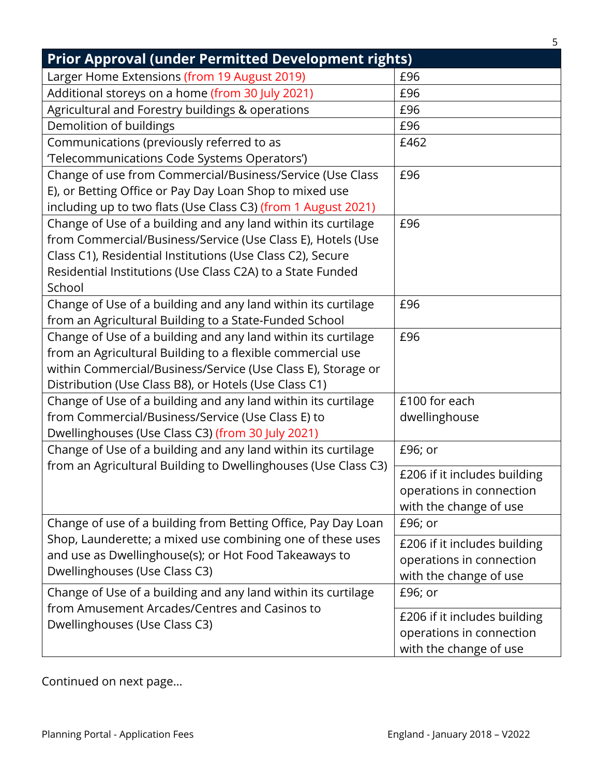| <b>Prior Approval (under Permitted Development rights)</b>                                                                      |                              |
|---------------------------------------------------------------------------------------------------------------------------------|------------------------------|
| Larger Home Extensions (from 19 August 2019)                                                                                    | £96                          |
| Additional storeys on a home (from 30 July 2021)                                                                                | £96                          |
| Agricultural and Forestry buildings & operations                                                                                | £96                          |
| Demolition of buildings                                                                                                         | £96                          |
| Communications (previously referred to as                                                                                       | £462                         |
| 'Telecommunications Code Systems Operators')                                                                                    |                              |
| Change of use from Commercial/Business/Service (Use Class                                                                       | £96                          |
| E), or Betting Office or Pay Day Loan Shop to mixed use                                                                         |                              |
| including up to two flats (Use Class C3) (from 1 August 2021)                                                                   |                              |
| Change of Use of a building and any land within its curtilage                                                                   | £96                          |
| from Commercial/Business/Service (Use Class E), Hotels (Use                                                                     |                              |
| Class C1), Residential Institutions (Use Class C2), Secure                                                                      |                              |
| Residential Institutions (Use Class C2A) to a State Funded                                                                      |                              |
| School                                                                                                                          |                              |
| Change of Use of a building and any land within its curtilage                                                                   | £96                          |
| from an Agricultural Building to a State-Funded School                                                                          |                              |
| Change of Use of a building and any land within its curtilage                                                                   | £96                          |
| from an Agricultural Building to a flexible commercial use                                                                      |                              |
| within Commercial/Business/Service (Use Class E), Storage or                                                                    |                              |
| Distribution (Use Class B8), or Hotels (Use Class C1)                                                                           |                              |
| Change of Use of a building and any land within its curtilage                                                                   | £100 for each                |
| from Commercial/Business/Service (Use Class E) to                                                                               | dwellinghouse                |
| Dwellinghouses (Use Class C3) (from 30 July 2021)                                                                               |                              |
| Change of Use of a building and any land within its curtilage<br>from an Agricultural Building to Dwellinghouses (Use Class C3) | £96; or                      |
|                                                                                                                                 | £206 if it includes building |
|                                                                                                                                 | operations in connection     |
|                                                                                                                                 | with the change of use       |
| Change of use of a building from Betting Office, Pay Day Loan                                                                   | £96; or                      |
| Shop, Launderette; a mixed use combining one of these uses                                                                      | £206 if it includes building |
| and use as Dwellinghouse(s); or Hot Food Takeaways to                                                                           | operations in connection     |
| Dwellinghouses (Use Class C3)                                                                                                   | with the change of use       |
| Change of Use of a building and any land within its curtilage                                                                   | £96; or                      |
| from Amusement Arcades/Centres and Casinos to                                                                                   | £206 if it includes building |
| Dwellinghouses (Use Class C3)                                                                                                   | operations in connection     |
|                                                                                                                                 | with the change of use       |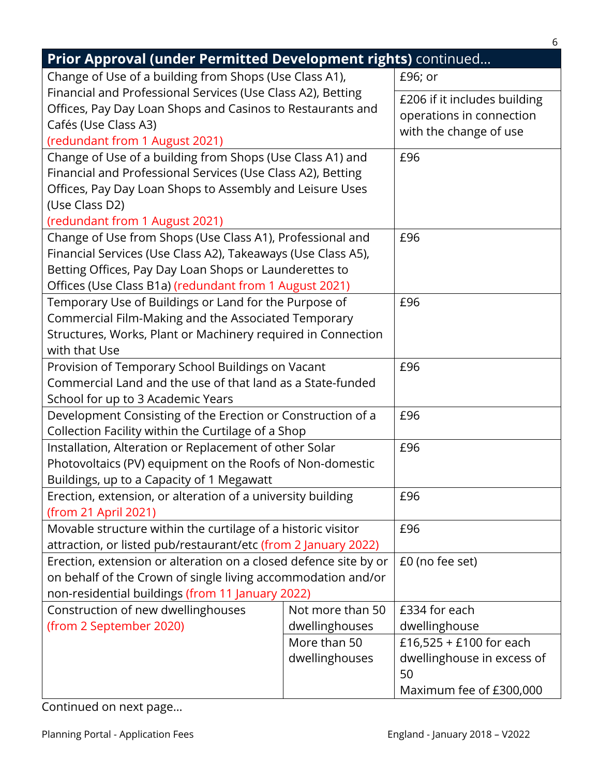| Prior Approval (under Permitted Development rights) continued                                                                                                                                                                                 |                                    |                                                                                        |  |
|-----------------------------------------------------------------------------------------------------------------------------------------------------------------------------------------------------------------------------------------------|------------------------------------|----------------------------------------------------------------------------------------|--|
| Change of Use of a building from Shops (Use Class A1),                                                                                                                                                                                        |                                    | £96; or                                                                                |  |
| Financial and Professional Services (Use Class A2), Betting<br>Offices, Pay Day Loan Shops and Casinos to Restaurants and<br>Cafés (Use Class A3)<br>(redundant from 1 August 2021)                                                           |                                    | £206 if it includes building<br>operations in connection<br>with the change of use     |  |
| Change of Use of a building from Shops (Use Class A1) and<br>Financial and Professional Services (Use Class A2), Betting<br>Offices, Pay Day Loan Shops to Assembly and Leisure Uses<br>(Use Class D2)<br>(redundant from 1 August 2021)      |                                    | £96                                                                                    |  |
| Change of Use from Shops (Use Class A1), Professional and<br>Financial Services (Use Class A2), Takeaways (Use Class A5),<br>Betting Offices, Pay Day Loan Shops or Launderettes to<br>Offices (Use Class B1a) (redundant from 1 August 2021) |                                    | £96                                                                                    |  |
| Temporary Use of Buildings or Land for the Purpose of<br>Commercial Film-Making and the Associated Temporary<br>Structures, Works, Plant or Machinery required in Connection<br>with that Use                                                 |                                    | £96                                                                                    |  |
| Provision of Temporary School Buildings on Vacant<br>Commercial Land and the use of that land as a State-funded<br>School for up to 3 Academic Years                                                                                          |                                    | £96                                                                                    |  |
| Development Consisting of the Erection or Construction of a<br>Collection Facility within the Curtilage of a Shop                                                                                                                             |                                    | £96                                                                                    |  |
| Installation, Alteration or Replacement of other Solar<br>Photovoltaics (PV) equipment on the Roofs of Non-domestic<br>Buildings, up to a Capacity of 1 Megawatt                                                                              |                                    | £96                                                                                    |  |
| Erection, extension, or alteration of a university building<br>(from 21 April 2021)                                                                                                                                                           |                                    | £96                                                                                    |  |
| Movable structure within the curtilage of a historic visitor<br>attraction, or listed pub/restaurant/etc (from 2 January 2022)                                                                                                                |                                    | £96                                                                                    |  |
| Erection, extension or alteration on a closed defence site by or<br>on behalf of the Crown of single living accommodation and/or<br>non-residential buildings (from 11 January 2022)                                                          |                                    | £0 (no fee set)                                                                        |  |
| Construction of new dwellinghouses<br>(from 2 September 2020)                                                                                                                                                                                 | Not more than 50<br>dwellinghouses | £334 for each<br>dwellinghouse                                                         |  |
|                                                                                                                                                                                                                                               | More than 50<br>dwellinghouses     | £16,525 + £100 for each<br>dwellinghouse in excess of<br>50<br>Maximum fee of £300,000 |  |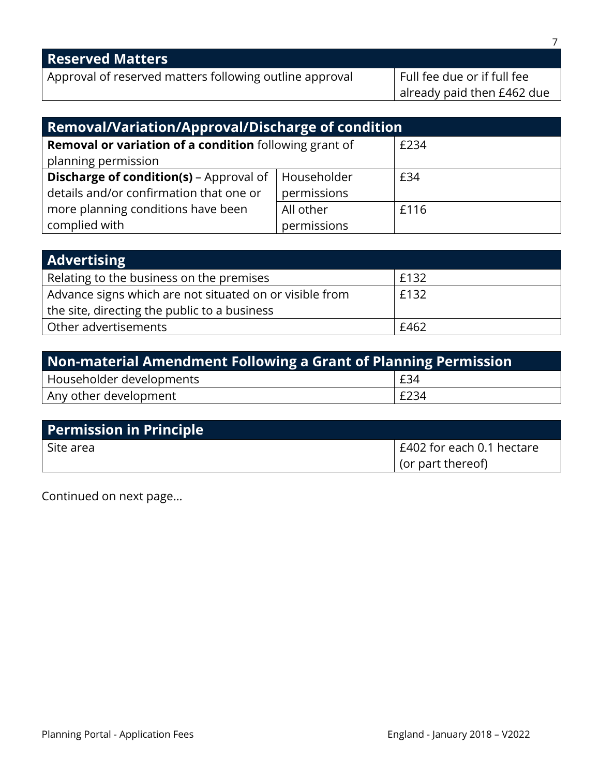| <b>Reserved Matters</b>                                       |                             |
|---------------------------------------------------------------|-----------------------------|
| Approval of reserved matters following outline approval       | Full fee due or if full fee |
|                                                               | already paid then £462 due  |
|                                                               |                             |
| <b>Removal/Variation/Approval/Discharge of condition</b>      |                             |
| <b>Removal or variation of a condition</b> following grant of | £234                        |

| planning permission                                            |             |      |
|----------------------------------------------------------------|-------------|------|
| <b>Discharge of condition(s)</b> – Approval of $ $ Householder |             | £34  |
| details and/or confirmation that one or                        | permissions |      |
| more planning conditions have been                             | All other   | £116 |
| complied with                                                  | permissions |      |

| <b>Advertising</b>                                      |      |
|---------------------------------------------------------|------|
| Relating to the business on the premises                | £132 |
| Advance signs which are not situated on or visible from | £132 |
| the site, directing the public to a business            |      |
| Other advertisements                                    | £462 |

| <b>Non-material Amendment Following a Grant of Planning Permission</b> |      |
|------------------------------------------------------------------------|------|
| Householder developments                                               | E34  |
| Any other development                                                  | £234 |

| <b>Permission in Principle</b> |                           |
|--------------------------------|---------------------------|
| l Site area                    | E402 for each 0.1 hectare |
|                                | $\vert$ (or part thereof) |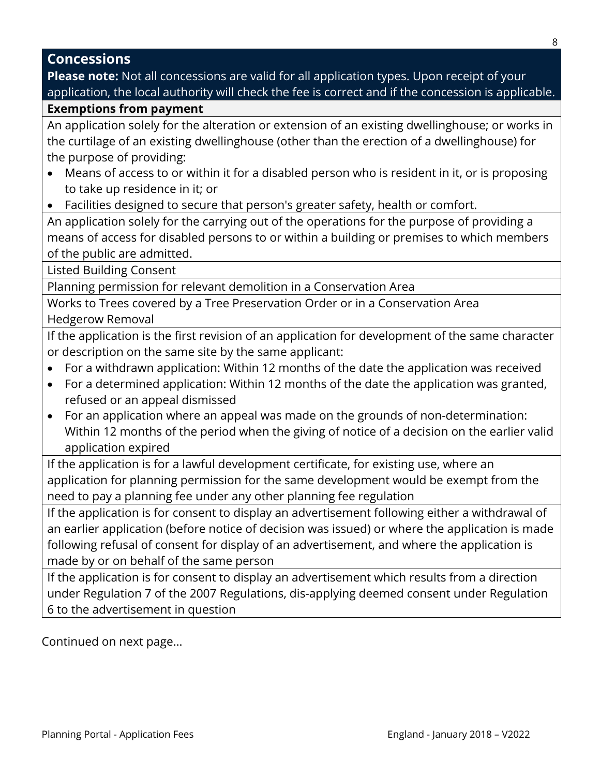#### **Concessions**

**Please note:** Not all concessions are valid for all application types. Upon receipt of your application, the local authority will check the fee is correct and if the concession is applicable.

#### **Exemptions from payment**

An application solely for the alteration or extension of an existing dwellinghouse; or works in the curtilage of an existing dwellinghouse (other than the erection of a dwellinghouse) for the purpose of providing:

- Means of access to or within it for a disabled person who is resident in it, or is proposing to take up residence in it; or
- Facilities designed to secure that person's greater safety, health or comfort.

An application solely for the carrying out of the operations for the purpose of providing a means of access for disabled persons to or within a building or premises to which members of the public are admitted.

Listed Building Consent

Planning permission for relevant demolition in a Conservation Area

Works to Trees covered by a Tree Preservation Order or in a Conservation Area Hedgerow Removal

If the application is the first revision of an application for development of the same character or description on the same site by the same applicant:

- For a withdrawn application: Within 12 months of the date the application was received
- For a determined application: Within 12 months of the date the application was granted, refused or an appeal dismissed
- For an application where an appeal was made on the grounds of non-determination: Within 12 months of the period when the giving of notice of a decision on the earlier valid application expired

If the application is for a lawful development certificate, for existing use, where an application for planning permission for the same development would be exempt from the need to pay a planning fee under any other planning fee regulation

If the application is for consent to display an advertisement following either a withdrawal of an earlier application (before notice of decision was issued) or where the application is made following refusal of consent for display of an advertisement, and where the application is made by or on behalf of the same person

If the application is for consent to display an advertisement which results from a direction under Regulation 7 of the 2007 Regulations, dis-applying deemed consent under Regulation 6 to the advertisement in question